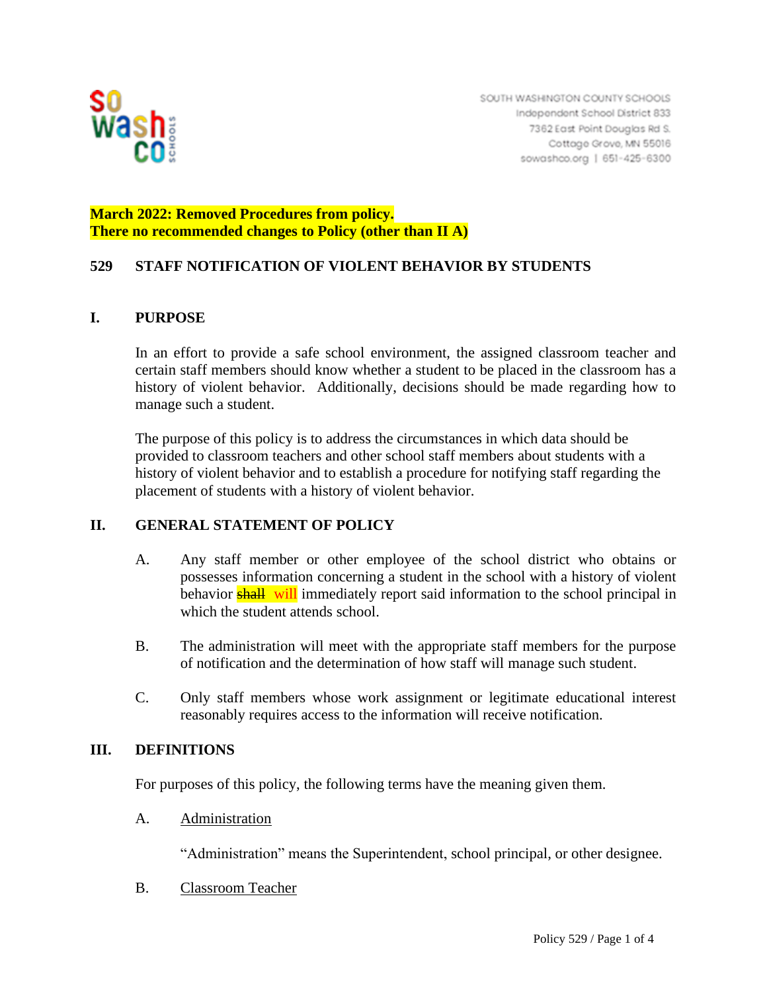

# **March 2022: Removed Procedures from policy. There no recommended changes to Policy (other than II A)**

# **529 STAFF NOTIFICATION OF VIOLENT BEHAVIOR BY STUDENTS**

#### **I. PURPOSE**

In an effort to provide a safe school environment, the assigned classroom teacher and certain staff members should know whether a student to be placed in the classroom has a history of violent behavior. Additionally, decisions should be made regarding how to manage such a student.

The purpose of this policy is to address the circumstances in which data should be provided to classroom teachers and other school staff members about students with a history of violent behavior and to establish a procedure for notifying staff regarding the placement of students with a history of violent behavior.

## **II. GENERAL STATEMENT OF POLICY**

- A. Any staff member or other employee of the school district who obtains or possesses information concerning a student in the school with a history of violent behavior **shall** will immediately report said information to the school principal in which the student attends school.
- B. The administration will meet with the appropriate staff members for the purpose of notification and the determination of how staff will manage such student.
- C. Only staff members whose work assignment or legitimate educational interest reasonably requires access to the information will receive notification.

#### **III. DEFINITIONS**

For purposes of this policy, the following terms have the meaning given them.

A. Administration

"Administration" means the Superintendent, school principal, or other designee.

B. Classroom Teacher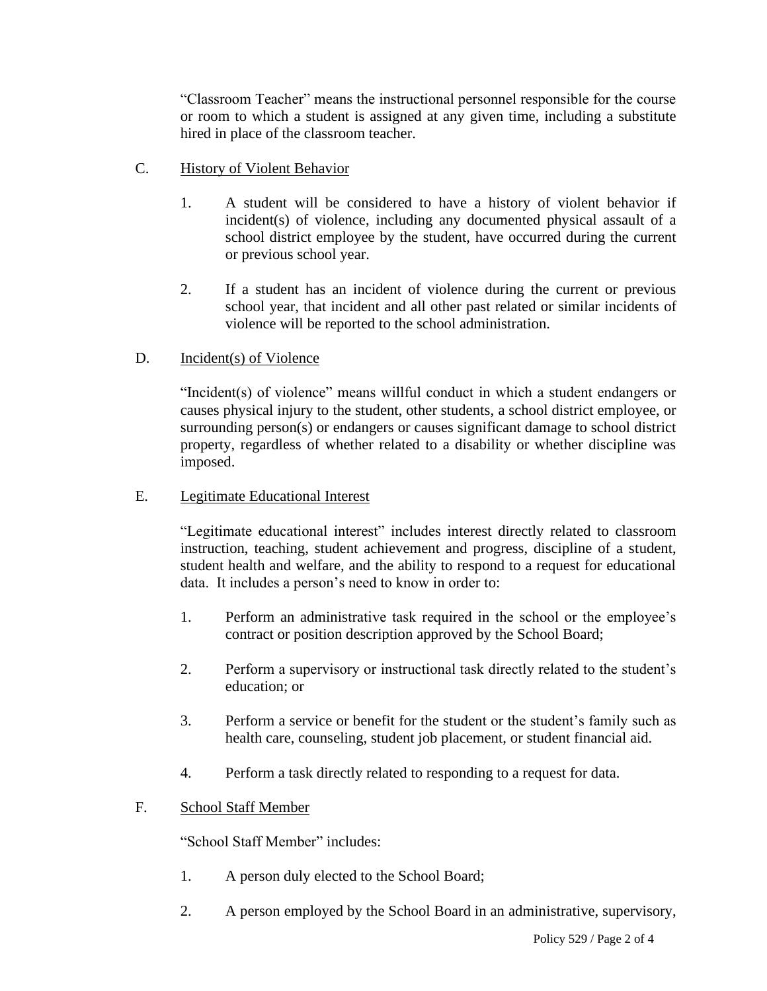"Classroom Teacher" means the instructional personnel responsible for the course or room to which a student is assigned at any given time, including a substitute hired in place of the classroom teacher.

- C. History of Violent Behavior
	- 1. A student will be considered to have a history of violent behavior if incident(s) of violence, including any documented physical assault of a school district employee by the student, have occurred during the current or previous school year.
	- 2. If a student has an incident of violence during the current or previous school year, that incident and all other past related or similar incidents of violence will be reported to the school administration.

# D. Incident(s) of Violence

"Incident(s) of violence" means willful conduct in which a student endangers or causes physical injury to the student, other students, a school district employee, or surrounding person(s) or endangers or causes significant damage to school district property, regardless of whether related to a disability or whether discipline was imposed.

#### E. Legitimate Educational Interest

"Legitimate educational interest" includes interest directly related to classroom instruction, teaching, student achievement and progress, discipline of a student, student health and welfare, and the ability to respond to a request for educational data. It includes a person's need to know in order to:

- 1. Perform an administrative task required in the school or the employee's contract or position description approved by the School Board;
- 2. Perform a supervisory or instructional task directly related to the student's education; or
- 3. Perform a service or benefit for the student or the student's family such as health care, counseling, student job placement, or student financial aid.
- 4. Perform a task directly related to responding to a request for data.

## F. School Staff Member

"School Staff Member" includes:

- 1. A person duly elected to the School Board;
- 2. A person employed by the School Board in an administrative, supervisory,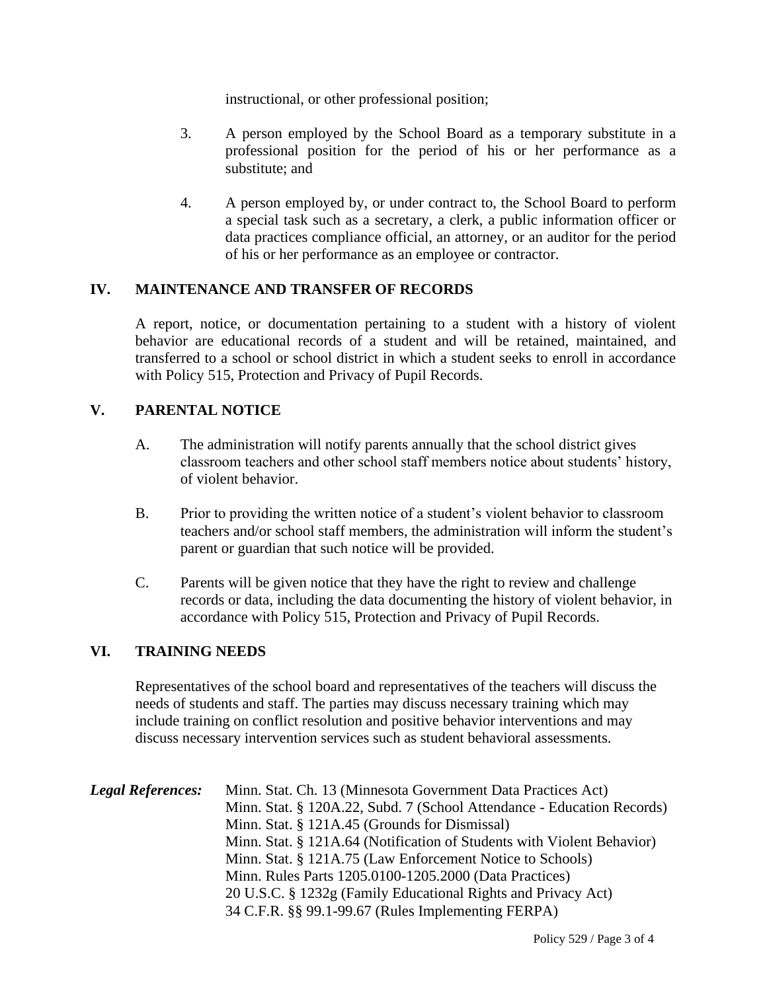instructional, or other professional position;

- 3. A person employed by the School Board as a temporary substitute in a professional position for the period of his or her performance as a substitute; and
- 4. A person employed by, or under contract to, the School Board to perform a special task such as a secretary, a clerk, a public information officer or data practices compliance official, an attorney, or an auditor for the period of his or her performance as an employee or contractor.

# **IV. MAINTENANCE AND TRANSFER OF RECORDS**

A report, notice, or documentation pertaining to a student with a history of violent behavior are educational records of a student and will be retained, maintained, and transferred to a school or school district in which a student seeks to enroll in accordance with Policy 515, Protection and Privacy of Pupil Records.

# **V. PARENTAL NOTICE**

- A. The administration will notify parents annually that the school district gives classroom teachers and other school staff members notice about students' history, of violent behavior.
- B. Prior to providing the written notice of a student's violent behavior to classroom teachers and/or school staff members, the administration will inform the student's parent or guardian that such notice will be provided.
- C. Parents will be given notice that they have the right to review and challenge records or data, including the data documenting the history of violent behavior, in accordance with Policy 515, Protection and Privacy of Pupil Records.

#### **VI. TRAINING NEEDS**

Representatives of the school board and representatives of the teachers will discuss the needs of students and staff. The parties may discuss necessary training which may include training on conflict resolution and positive behavior interventions and may discuss necessary intervention services such as student behavioral assessments.

| <b>Legal References:</b> | Minn. Stat. Ch. 13 (Minnesota Government Data Practices Act)           |
|--------------------------|------------------------------------------------------------------------|
|                          | Minn. Stat. § 120A.22, Subd. 7 (School Attendance - Education Records) |
|                          | Minn. Stat. § 121A.45 (Grounds for Dismissal)                          |
|                          | Minn. Stat. § 121A.64 (Notification of Students with Violent Behavior) |
|                          | Minn. Stat. § 121A.75 (Law Enforcement Notice to Schools)              |
|                          | Minn. Rules Parts 1205.0100-1205.2000 (Data Practices)                 |
|                          | 20 U.S.C. § 1232g (Family Educational Rights and Privacy Act)          |
|                          | 34 C.F.R. §§ 99.1-99.67 (Rules Implementing FERPA)                     |